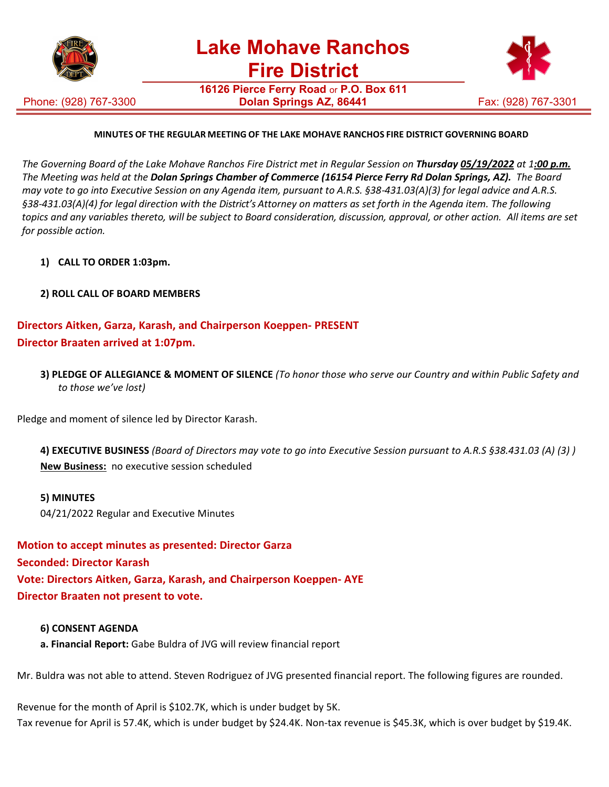

Phone: (928) 767-3300

**16126 Pierce Ferry Road** or **P.O. Box 611 Dolan Springs AZ, 86441** Fax: (928) 767-3301



# **MINUTES OF THE REGULAR MEETING OF THE LAKE MOHAVE RANCHOS FIRE DISTRICT GOVERNING BOARD**

*The Governing Board of the Lake Mohave Ranchos Fire District met in Regular Session on Thursday 05/19/2022 at 1:00 p.m. The Meeting was held at the Dolan Springs Chamber of Commerce (16154 Pierce Ferry Rd Dolan Springs, AZ). The Board may vote to go into Executive Session on any Agenda item, pursuant to A.R.S. §38-431.03(A)(3) for legal advice and A.R.S. §38-431.03(A)(4) for legal direction with the District's Attorney on matters as set forth in the Agenda item. The following topics and any variables thereto, will be subject to Board consideration, discussion, approval, or other action. All items are set for possible action.*

- **1) CALL TO ORDER 1:03pm.**
- **2) ROLL CALL OF BOARD MEMBERS**

# **Directors Aitken, Garza, Karash, and Chairperson Koeppen- PRESENT Director Braaten arrived at 1:07pm.**

**3) PLEDGE OF ALLEGIANCE & MOMENT OF SILENCE** *(To honor those who serve our Country and within Public Safety and to those we've lost)*

Pledge and moment of silence led by Director Karash.

**4) EXECUTIVE BUSINESS** *(Board of Directors may vote to go into Executive Session pursuant to A.R.S §38.431.03 (A) (3) )* **New Business:** no executive session scheduled

#### **5) MINUTES**

04/21/2022 Regular and Executive Minutes

**Motion to accept minutes as presented: Director Garza Seconded: Director Karash Vote: Directors Aitken, Garza, Karash, and Chairperson Koeppen- AYE Director Braaten not present to vote.**

**6) CONSENT AGENDA a. Financial Report:** Gabe Buldra of JVG will review financial report

Mr. Buldra was not able to attend. Steven Rodriguez of JVG presented financial report. The following figures are rounded.

Revenue for the month of April is \$102.7K, which is under budget by 5K. Tax revenue for April is 57.4K, which is under budget by \$24.4K. Non-tax revenue is \$45.3K, which is over budget by \$19.4K.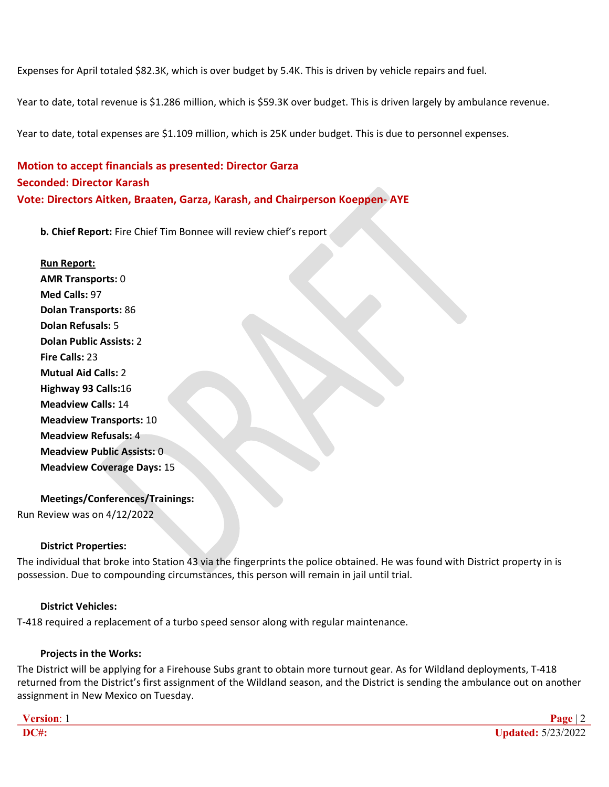Expenses for April totaled \$82.3K, which is over budget by 5.4K. This is driven by vehicle repairs and fuel.

Year to date, total revenue is \$1.286 million, which is \$59.3K over budget. This is driven largely by ambulance revenue.

Year to date, total expenses are \$1.109 million, which is 25K under budget. This is due to personnel expenses.

# **Motion to accept financials as presented: Director Garza Seconded: Director Karash Vote: Directors Aitken, Braaten, Garza, Karash, and Chairperson Koeppen- AYE**

**b. Chief Report:** Fire Chief Tim Bonnee will review chief's report

# **Run Report: AMR Transports:** 0 **Med Calls:** 97 **Dolan Transports:** 86 **Dolan Refusals:** 5 **Dolan Public Assists:** 2 **Fire Calls:** 23 **Mutual Aid Calls:** 2 **Highway 93 Calls:**16 **Meadview Calls:** 14 **Meadview Transports:** 10 **Meadview Refusals:** 4 **Meadview Public Assists:** 0 **Meadview Coverage Days:** 15

### **Meetings/Conferences/Trainings:**

Run Review was on 4/12/2022

# **District Properties:**

The individual that broke into Station 43 via the fingerprints the police obtained. He was found with District property in is possession. Due to compounding circumstances, this person will remain in jail until trial.

### **District Vehicles:**

T-418 required a replacement of a turbo speed sensor along with regular maintenance.

# **Projects in the Works:**

The District will be applying for a Firehouse Subs grant to obtain more turnout gear. As for Wildland deployments, T-418 returned from the District's first assignment of the Wildland season, and the District is sending the ambulance out on another assignment in New Mexico on Tuesday.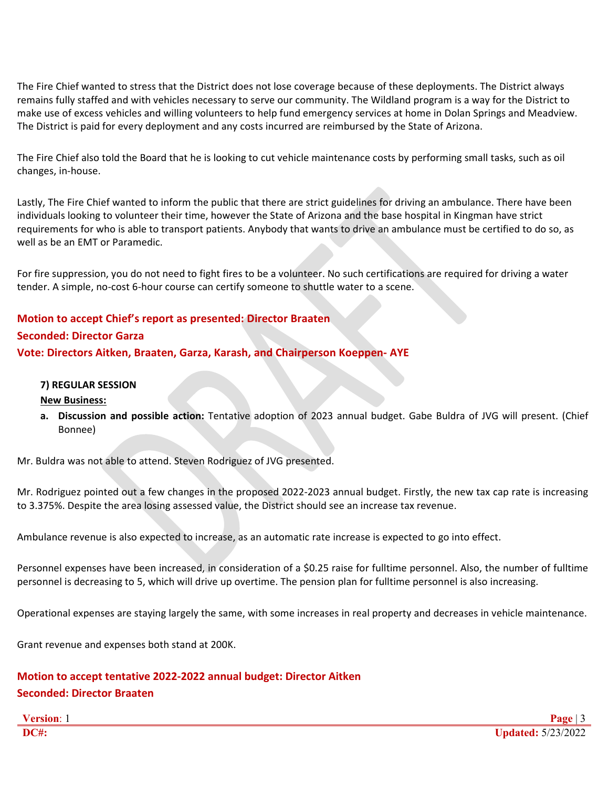The Fire Chief wanted to stress that the District does not lose coverage because of these deployments. The District always remains fully staffed and with vehicles necessary to serve our community. The Wildland program is a way for the District to make use of excess vehicles and willing volunteers to help fund emergency services at home in Dolan Springs and Meadview. The District is paid for every deployment and any costs incurred are reimbursed by the State of Arizona.

The Fire Chief also told the Board that he is looking to cut vehicle maintenance costs by performing small tasks, such as oil changes, in-house.

Lastly, The Fire Chief wanted to inform the public that there are strict guidelines for driving an ambulance. There have been individuals looking to volunteer their time, however the State of Arizona and the base hospital in Kingman have strict requirements for who is able to transport patients. Anybody that wants to drive an ambulance must be certified to do so, as well as be an EMT or Paramedic.

For fire suppression, you do not need to fight fires to be a volunteer. No such certifications are required for driving a water tender. A simple, no-cost 6-hour course can certify someone to shuttle water to a scene.

# **Motion to accept Chief's report as presented: Director Braaten**

### **Seconded: Director Garza**

**Vote: Directors Aitken, Braaten, Garza, Karash, and Chairperson Koeppen- AYE**

### **7) REGULAR SESSION**

### **New Business:**

**a. Discussion and possible action:** Tentative adoption of 2023 annual budget. Gabe Buldra of JVG will present. (Chief Bonnee)

Mr. Buldra was not able to attend. Steven Rodriguez of JVG presented.

Mr. Rodriguez pointed out a few changes in the proposed 2022-2023 annual budget. Firstly, the new tax cap rate is increasing to 3.375%. Despite the area losing assessed value, the District should see an increase tax revenue.

Ambulance revenue is also expected to increase, as an automatic rate increase is expected to go into effect.

Personnel expenses have been increased, in consideration of a \$0.25 raise for fulltime personnel. Also, the number of fulltime personnel is decreasing to 5, which will drive up overtime. The pension plan for fulltime personnel is also increasing.

Operational expenses are staying largely the same, with some increases in real property and decreases in vehicle maintenance.

Grant revenue and expenses both stand at 200K.

# **Motion to accept tentative 2022-2022 annual budget: Director Aitken Seconded: Director Braaten**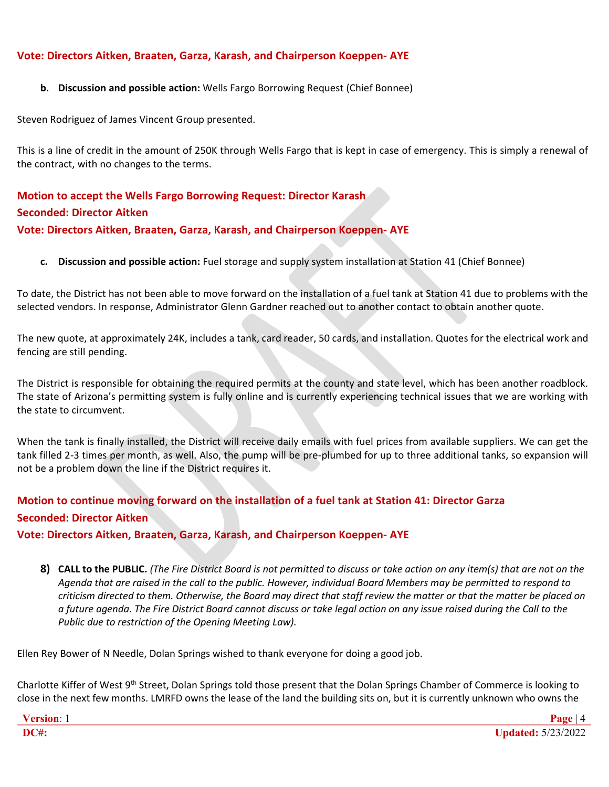# **Vote: Directors Aitken, Braaten, Garza, Karash, and Chairperson Koeppen- AYE**

**b. Discussion and possible action:** Wells Fargo Borrowing Request (Chief Bonnee)

Steven Rodriguez of James Vincent Group presented.

This is a line of credit in the amount of 250K through Wells Fargo that is kept in case of emergency. This is simply a renewal of the contract, with no changes to the terms.

**Motion to accept the Wells Fargo Borrowing Request: Director Karash Seconded: Director Aitken Vote: Directors Aitken, Braaten, Garza, Karash, and Chairperson Koeppen- AYE**

**c. Discussion and possible action:** Fuel storage and supply system installation at Station 41 (Chief Bonnee)

To date, the District has not been able to move forward on the installation of a fuel tank at Station 41 due to problems with the selected vendors. In response, Administrator Glenn Gardner reached out to another contact to obtain another quote.

The new quote, at approximately 24K, includes a tank, card reader, 50 cards, and installation. Quotes for the electrical work and fencing are still pending.

The District is responsible for obtaining the required permits at the county and state level, which has been another roadblock. The state of Arizona's permitting system is fully online and is currently experiencing technical issues that we are working with the state to circumvent.

When the tank is finally installed, the District will receive daily emails with fuel prices from available suppliers. We can get the tank filled 2-3 times per month, as well. Also, the pump will be pre-plumbed for up to three additional tanks, so expansion will not be a problem down the line if the District requires it.

# **Motion to continue moving forward on the installation of a fuel tank at Station 41: Director Garza Seconded: Director Aitken**

# **Vote: Directors Aitken, Braaten, Garza, Karash, and Chairperson Koeppen- AYE**

8) CALL to the PUBLIC. (The Fire District Board is not permitted to discuss or take action on any item(s) that are not on the *Agenda that are raised in the call to the public. However, individual Board Members may be permitted to respond to criticism directed to them. Otherwise, the Board may direct that staff review the matter or that the matter be placed on a future agenda. The Fire District Board cannot discuss or take legal action on any issue raised during the Call to the Public due to restriction of the Opening Meeting Law).*

Ellen Rey Bower of N Needle, Dolan Springs wished to thank everyone for doing a good job.

Charlotte Kiffer of West 9<sup>th</sup> Street, Dolan Springs told those present that the Dolan Springs Chamber of Commerce is looking to close in the next few months. LMRFD owns the lease of the land the building sits on, but it is currently unknown who owns the